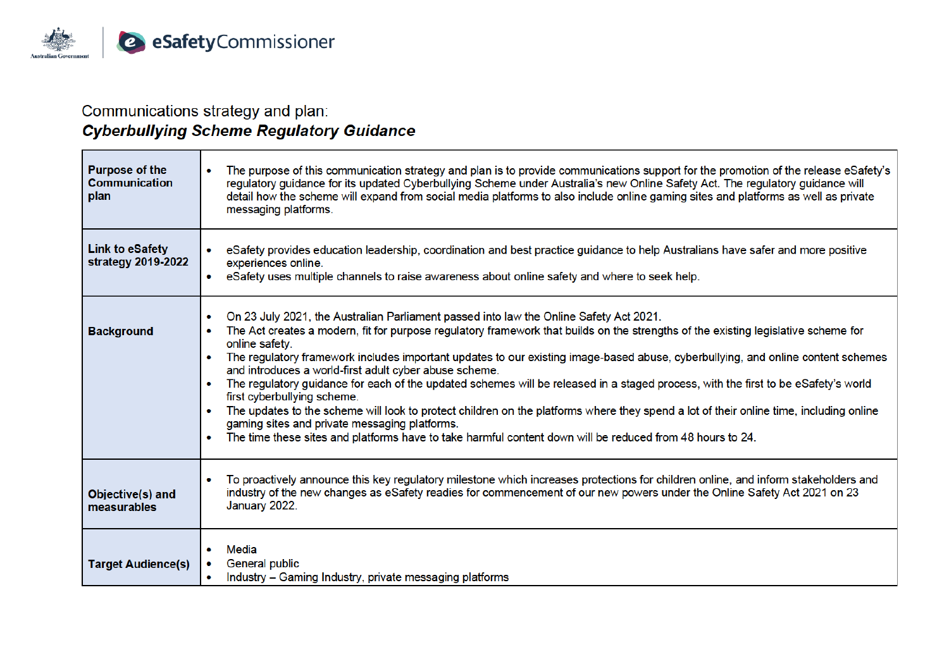

the control of the control of the control of

 $\sim$ 

## Communications strategy and plan: **Cyberbullying Scheme Regulatory Guidance**

| <b>Purpose of the</b><br><b>Communication</b><br>plan | The purpose of this communication strategy and plan is to provide communications support for the promotion of the release eSafety's<br>regulatory guidance for its updated Cyberbullying Scheme under Australia's new Online Safety Act. The regulatory guidance will<br>detail how the scheme will expand from social media platforms to also include online gaming sites and platforms as well as private<br>messaging platforms.                                                                                                                                                                                                                                                                                                                                                                                                                                                                                                                              |
|-------------------------------------------------------|------------------------------------------------------------------------------------------------------------------------------------------------------------------------------------------------------------------------------------------------------------------------------------------------------------------------------------------------------------------------------------------------------------------------------------------------------------------------------------------------------------------------------------------------------------------------------------------------------------------------------------------------------------------------------------------------------------------------------------------------------------------------------------------------------------------------------------------------------------------------------------------------------------------------------------------------------------------|
| <b>Link to eSafety</b><br>strategy 2019-2022          | eSafety provides education leadership, coordination and best practice guidance to help Australians have safer and more positive<br>experiences online.<br>• eSafety uses multiple channels to raise awareness about online safety and where to seek help.                                                                                                                                                                                                                                                                                                                                                                                                                                                                                                                                                                                                                                                                                                        |
| <b>Background</b>                                     | On 23 July 2021, the Australian Parliament passed into law the Online Safety Act 2021.<br>$\bullet$<br>The Act creates a modern, fit for purpose regulatory framework that builds on the strengths of the existing legislative scheme for<br>online safety.<br>The regulatory framework includes important updates to our existing image-based abuse, cyberbullying, and online content schemes<br>$\bullet$<br>and introduces a world-first adult cyber abuse scheme.<br>The regulatory guidance for each of the updated schemes will be released in a staged process, with the first to be eSafety's world<br>$\bullet$<br>first cyberbullying scheme.<br>The updates to the scheme will look to protect children on the platforms where they spend a lot of their online time, including online<br>gaming sites and private messaging platforms.<br>The time these sites and platforms have to take harmful content down will be reduced from 48 hours to 24. |
| Objective(s) and<br>measurables                       | To proactively announce this key regulatory milestone which increases protections for children online, and inform stakeholders and<br>industry of the new changes as eSafety readies for commencement of our new powers under the Online Safety Act 2021 on 23<br>January 2022.                                                                                                                                                                                                                                                                                                                                                                                                                                                                                                                                                                                                                                                                                  |
| <b>Target Audience(s)</b>                             | Media<br>٠<br>General public<br>Industry – Gaming Industry, private messaging platforms                                                                                                                                                                                                                                                                                                                                                                                                                                                                                                                                                                                                                                                                                                                                                                                                                                                                          |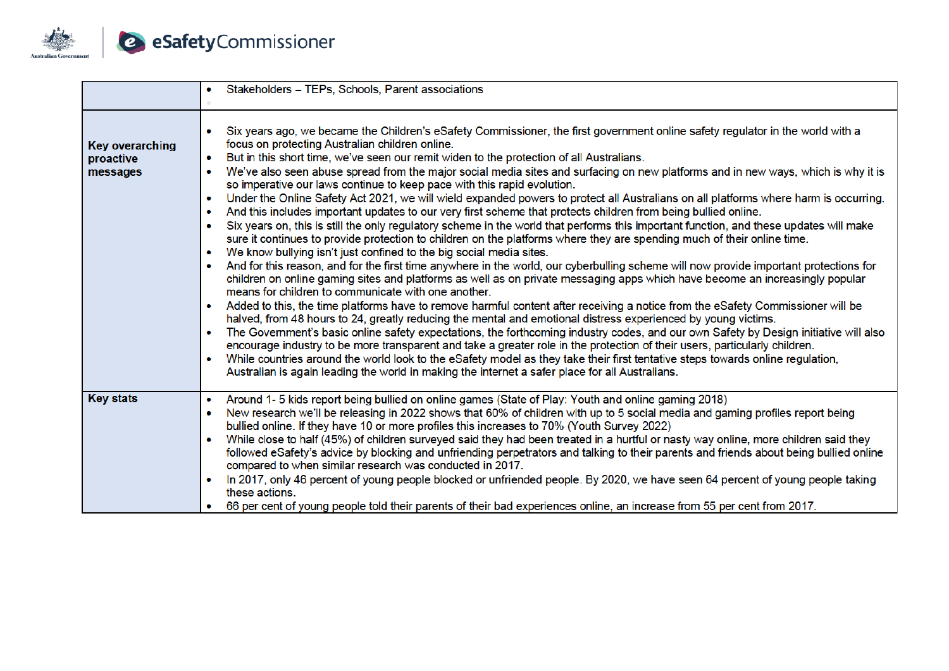

|                                                 | Stakeholders - TEPs, Schools, Parent associations                                                                                                                                                                                                                                                                                                                                                                                                                                                                                                                                                                                                                                                                                                                                                                                                                                                                                                                                                                                                                                                                                                                                                                                                                                                                                                                                                                                                                                                                                                                                                                                                                                                                                                                                                                                                                                                                                                                                                                                                                                                                                                                                                                                                                   |
|-------------------------------------------------|---------------------------------------------------------------------------------------------------------------------------------------------------------------------------------------------------------------------------------------------------------------------------------------------------------------------------------------------------------------------------------------------------------------------------------------------------------------------------------------------------------------------------------------------------------------------------------------------------------------------------------------------------------------------------------------------------------------------------------------------------------------------------------------------------------------------------------------------------------------------------------------------------------------------------------------------------------------------------------------------------------------------------------------------------------------------------------------------------------------------------------------------------------------------------------------------------------------------------------------------------------------------------------------------------------------------------------------------------------------------------------------------------------------------------------------------------------------------------------------------------------------------------------------------------------------------------------------------------------------------------------------------------------------------------------------------------------------------------------------------------------------------------------------------------------------------------------------------------------------------------------------------------------------------------------------------------------------------------------------------------------------------------------------------------------------------------------------------------------------------------------------------------------------------------------------------------------------------------------------------------------------------|
| <b>Key overarching</b><br>proactive<br>messages | Six years ago, we became the Children's eSafety Commissioner, the first government online safety regulator in the world with a<br>focus on protecting Australian children online.<br>But in this short time, we've seen our remit widen to the protection of all Australians.<br>$\bullet$<br>We've also seen abuse spread from the major social media sites and surfacing on new platforms and in new ways, which is why it is<br>so imperative our laws continue to keep pace with this rapid evolution.<br>Under the Online Safety Act 2021, we will wield expanded powers to protect all Australians on all platforms where harm is occurring.<br>$\bullet$<br>And this includes important updates to our very first scheme that protects children from being bullied online.<br>$\bullet$<br>Six years on, this is still the only regulatory scheme in the world that performs this important function, and these updates will make<br>sure it continues to provide protection to children on the platforms where they are spending much of their online time.<br>We know bullying isn't just confined to the big social media sites.<br>$\bullet$<br>And for this reason, and for the first time anywhere in the world, our cyberbulling scheme will now provide important protections for<br>children on online gaming sites and platforms as well as on private messaging apps which have become an increasingly popular<br>means for children to communicate with one another.<br>Added to this, the time platforms have to remove harmful content after receiving a notice from the eSafety Commissioner will be<br>halved, from 48 hours to 24, greatly reducing the mental and emotional distress experienced by young victims.<br>The Government's basic online safety expectations, the forthcoming industry codes, and our own Safety by Design initiative will also<br>$\bullet$<br>encourage industry to be more transparent and take a greater role in the protection of their users, particularly children.<br>While countries around the world look to the eSafety model as they take their first tentative steps towards online regulation,<br>Australian is again leading the world in making the internet a safer place for all Australians. |
| <b>Key stats</b>                                | Around 1-5 kids report being bullied on online games (State of Play: Youth and online gaming 2018)<br>New research we'll be releasing in 2022 shows that 60% of children with up to 5 social media and gaming profiles report being<br>$\bullet$<br>bullied online. If they have 10 or more profiles this increases to 70% (Youth Survey 2022)<br>While close to half (45%) of children surveyed said they had been treated in a hurtful or nasty way online, more children said they<br>followed eSafety's advice by blocking and unfriending perpetrators and talking to their parents and friends about being bullied online<br>compared to when similar research was conducted in 2017.<br>In 2017, only 46 percent of young people blocked or unfriended people. By 2020, we have seen 64 percent of young people taking<br>these actions.<br>66 per cent of young people told their parents of their bad experiences online, an increase from 55 per cent from 2017.                                                                                                                                                                                                                                                                                                                                                                                                                                                                                                                                                                                                                                                                                                                                                                                                                                                                                                                                                                                                                                                                                                                                                                                                                                                                                          |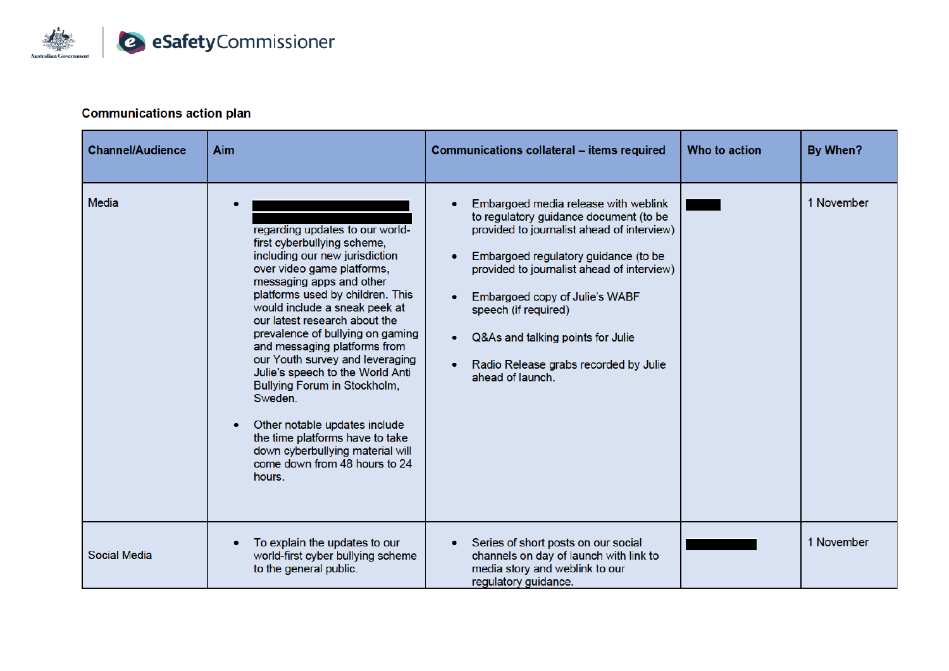

## **Communications action plan**

| <b>Channel/Audience</b> | Aim                                                                                                                                                                                                                                                                                                                                                                                                                                                                                                                                                                                                       | Communications collateral - items required                                                                                                                                                                                                                                                                                                                                     | Who to action | By When?   |
|-------------------------|-----------------------------------------------------------------------------------------------------------------------------------------------------------------------------------------------------------------------------------------------------------------------------------------------------------------------------------------------------------------------------------------------------------------------------------------------------------------------------------------------------------------------------------------------------------------------------------------------------------|--------------------------------------------------------------------------------------------------------------------------------------------------------------------------------------------------------------------------------------------------------------------------------------------------------------------------------------------------------------------------------|---------------|------------|
| <b>Media</b>            | regarding updates to our world-<br>first cyberbullying scheme,<br>including our new jurisdiction<br>over video game platforms,<br>messaging apps and other<br>platforms used by children. This<br>would include a sneak peek at<br>our latest research about the<br>prevalence of bullying on gaming<br>and messaging platforms from<br>our Youth survey and leveraging<br>Julie's speech to the World Anti<br>Bullying Forum in Stockholm,<br>Sweden.<br>Other notable updates include<br>the time platforms have to take<br>down cyberbullying material will<br>come down from 48 hours to 24<br>hours. | Embargoed media release with weblink<br>to regulatory guidance document (to be<br>provided to journalist ahead of interview)<br>Embargoed regulatory guidance (to be<br>provided to journalist ahead of interview)<br>Embargoed copy of Julie's WABF<br>speech (if required)<br>Q&As and talking points for Julie<br>Radio Release grabs recorded by Julie<br>ahead of launch. |               | 1 November |
| Social Media            | To explain the updates to our<br>world-first cyber bullying scheme<br>to the general public.                                                                                                                                                                                                                                                                                                                                                                                                                                                                                                              | Series of short posts on our social<br>channels on day of launch with link to<br>media story and weblink to our<br>regulatory guidance.                                                                                                                                                                                                                                        |               | 1 November |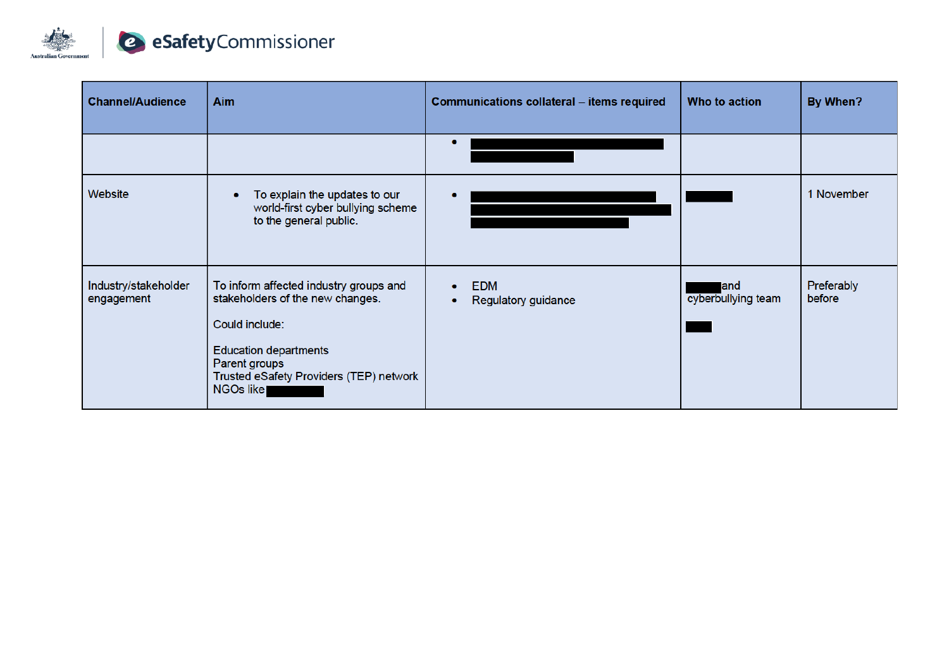

| <b>Channel/Audience</b>            | <b>Aim</b>                                                                                                                                                                                            | Communications collateral - items required     | Who to action              | By When?             |
|------------------------------------|-------------------------------------------------------------------------------------------------------------------------------------------------------------------------------------------------------|------------------------------------------------|----------------------------|----------------------|
|                                    |                                                                                                                                                                                                       |                                                |                            |                      |
| Website                            | To explain the updates to our<br>world-first cyber bullying scheme<br>to the general public.                                                                                                          |                                                |                            | 1 November           |
| Industry/stakeholder<br>engagement | To inform affected industry groups and<br>stakeholders of the new changes.<br>Could include:<br><b>Education departments</b><br>Parent groups<br>Trusted eSafety Providers (TEP) network<br>NGOs like | <b>EDM</b><br>$\bullet$<br>Regulatory guidance | land<br>cyberbullying team | Preferably<br>before |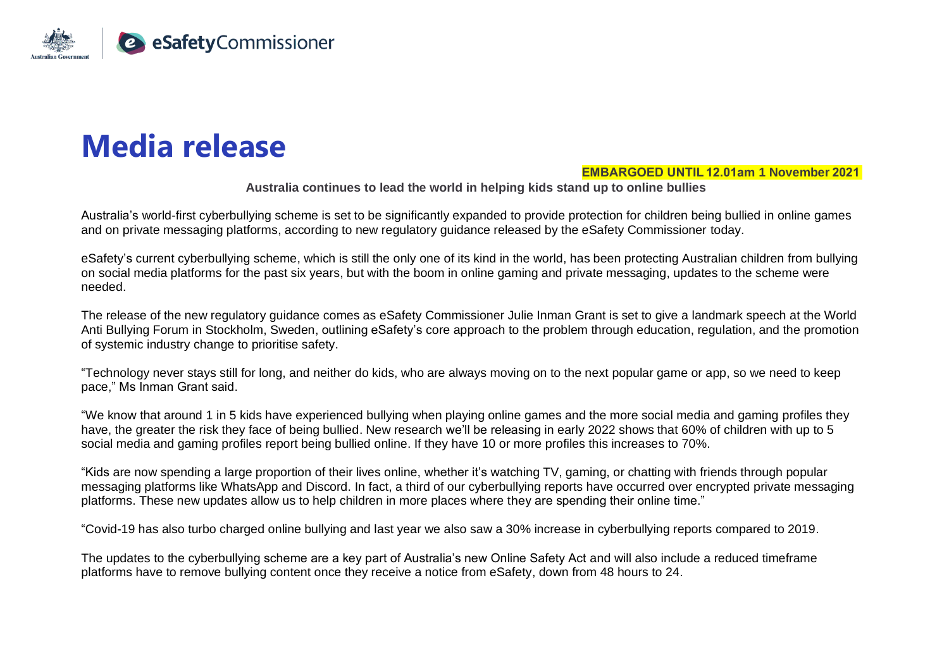

## **Media release**

## **EMBARGOED UNTIL 12.01am 1 November 2021**

**Australia continues to lead the world in helping kids stand up to online bullies**

Australia's world-first cyberbullying scheme is set to be significantly expanded to provide protection for children being bullied in online games and on private messaging platforms, according to new regulatory guidance released by the eSafety Commissioner today.

eSafety's current cyberbullying scheme, which is still the only one of its kind in the world, has been protecting Australian children from bullying on social media platforms for the past six years, but with the boom in online gaming and private messaging, updates to the scheme were needed.

The release of the new regulatory guidance comes as eSafety Commissioner Julie Inman Grant is set to give a landmark speech at the World Anti Bullying Forum in Stockholm, Sweden, outlining eSafety's core approach to the problem through education, regulation, and the promotion of systemic industry change to prioritise safety.

"Technology never stays still for long, and neither do kids, who are always moving on to the next popular game or app, so we need to keep pace," Ms Inman Grant said.

"We know that around 1 in 5 kids have experienced bullying when playing online games and the more social media and gaming profiles they have, the greater the risk they face of being bullied. New research we'll be releasing in early 2022 shows that 60% of children with up to 5 social media and gaming profiles report being bullied online. If they have 10 or more profiles this increases to 70%.

"Kids are now spending a large proportion of their lives online, whether it's watching TV, gaming, or chatting with friends through popular messaging platforms like WhatsApp and Discord. In fact, a third of our cyberbullying reports have occurred over encrypted private messaging platforms. These new updates allow us to help children in more places where they are spending their online time."

"Covid-19 has also turbo charged online bullying and last year we also saw a 30% increase in cyberbullying reports compared to 2019.

The updates to the cyberbullying scheme are a key part of Australia's new Online Safety Act and will also include a reduced timeframe platforms have to remove bullying content once they receive a notice from eSafety, down from 48 hours to 24.